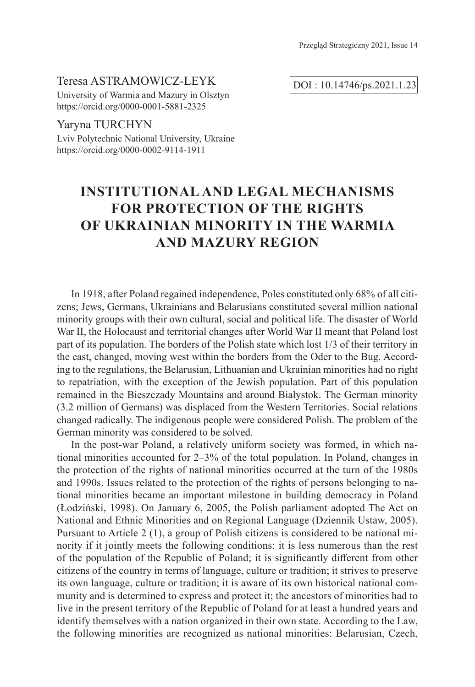Przegląd Strategiczny 2021, Issue 14

#### Teresa ASTRAMOWICZ-LEYK

University of Warmia and Mazury in Olsztyn https://orcid.org/0000-0001-5881-2325

Yaryna TURCHYN Lviv Polytechnic National University, Ukraine https://orcid.org/0000-0002-9114-1911

DOI : 10.14746/ps.2021.1.23

# **INSTITUTIONAL AND LEGAL MECHANISMS FOR PROTECTION OF THE RIGHTS OF UKRAINIAN MINORITY IN THE WARMIA AND MAZURY REGION**

In 1918, after Poland regained independence, Poles constituted only 68% of all citizens; Jews, Germans, Ukrainians and Belarusians constituted several million national minority groups with their own cultural, social and political life. The disaster of World War II, the Holocaust and territorial changes after World War II meant that Poland lost part of its population. The borders of the Polish state which lost 1/3 of their territory in the east, changed, moving west within the borders from the Oder to the Bug. According to the regulations, the Belarusian, Lithuanian and Ukrainian minorities had no right to repatriation, with the exception of the Jewish population. Part of this population remained in the Bieszczady Mountains and around Białystok. The German minority (3.2 million of Germans) was displaced from the Western Territories. Social relations changed radically. The indigenous people were considered Polish. The problem of the German minority was considered to be solved.

In the post-war Poland, a relatively uniform society was formed, in which national minorities accounted for 2–3% of the total population. In Poland, changes in the protection of the rights of national minorities occurred at the turn of the 1980s and 1990s. Issues related to the protection of the rights of persons belonging to national minorities became an important milestone in building democracy in Poland (Łodziński, 1998). On January 6, 2005, the Polish parliament adopted The Act on National and Ethnic Minorities and on Regional Language (Dziennik Ustaw, 2005). Pursuant to Article 2 (1), a group of Polish citizens is considered to be national minority if it jointly meets the following conditions: it is less numerous than the rest of the population of the Republic of Poland; it is significantly different from other citizens of the country in terms of language, culture or tradition; it strives to preserve its own language, culture or tradition; it is aware of its own historical national community and is determined to express and protect it; the ancestors of minorities had to live in the present territory of the Republic of Poland for at least a hundred years and identify themselves with a nation organized in their own state. According to the Law, the following minorities are recognized as national minorities: Belarusian, Czech,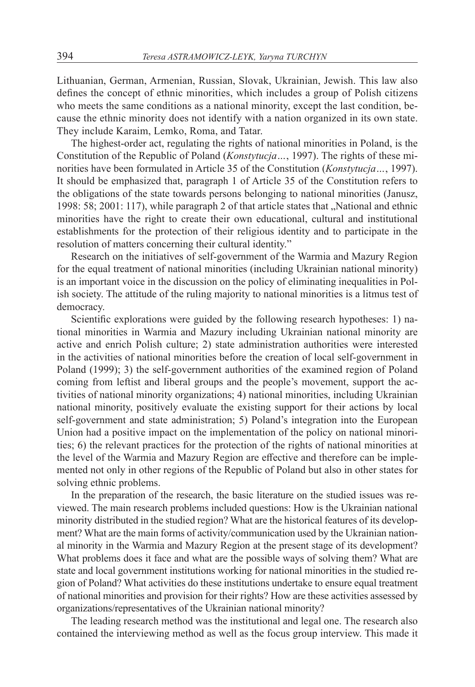Lithuanian, German, Armenian, Russian, Slovak, Ukrainian, Jewish. This law also defines the concept of ethnic minorities, which includes a group of Polish citizens who meets the same conditions as a national minority, except the last condition, because the ethnic minority does not identify with a nation organized in its own state. They include Karaim, Lemko, Roma, and Tatar.

The highest-order act, regulating the rights of national minorities in Poland, is the Constitution of the Republic of Poland (*Konstytucja…*, 1997). The rights of these minorities have been formulated in Article 35 of the Constitution (*Konstytucja…*, 1997). It should be emphasized that, paragraph 1 of Article 35 of the Constitution refers to the obligations of the state towards persons belonging to national minorities (Janusz, 1998: 58; 2001: 117), while paragraph 2 of that article states that "National and ethnic minorities have the right to create their own educational, cultural and institutional establishments for the protection of their religious identity and to participate in the resolution of matters concerning their cultural identity."

Research on the initiatives of self-government of the Warmia and Mazury Region for the equal treatment of national minorities (including Ukrainian national minority) is an important voice in the discussion on the policy of eliminating inequalities in Polish society. The attitude of the ruling majority to national minorities is a litmus test of democracy.

Scientific explorations were guided by the following research hypotheses: 1) national minorities in Warmia and Mazury including Ukrainian national minority are active and enrich Polish culture; 2) state administration authorities were interested in the activities of national minorities before the creation of local self-government in Poland (1999); 3) the self-government authorities of the examined region of Poland coming from leftist and liberal groups and the people's movement, support the activities of national minority organizations; 4) national minorities, including Ukrainian national minority, positively evaluate the existing support for their actions by local self-government and state administration; 5) Poland's integration into the European Union had a positive impact on the implementation of the policy on national minorities; 6) the relevant practices for the protection of the rights of national minorities at the level of the Warmia and Mazury Region are effective and therefore can be implemented not only in other regions of the Republic of Poland but also in other states for solving ethnic problems.

In the preparation of the research, the basic literature on the studied issues was reviewed. The main research problems included questions: How is the Ukrainian national minority distributed in the studied region? What are the historical features of its development? What are the main forms of activity/communication used by the Ukrainian national minority in the Warmia and Mazury Region at the present stage of its development? What problems does it face and what are the possible ways of solving them? What are state and local government institutions working for national minorities in the studied region of Poland? What activities do these institutions undertake to ensure equal treatment of national minorities and provision for their rights? How are these activities assessed by organizations/representatives of the Ukrainian national minority?

The leading research method was the institutional and legal one. The research also contained the interviewing method as well as the focus group interview. This made it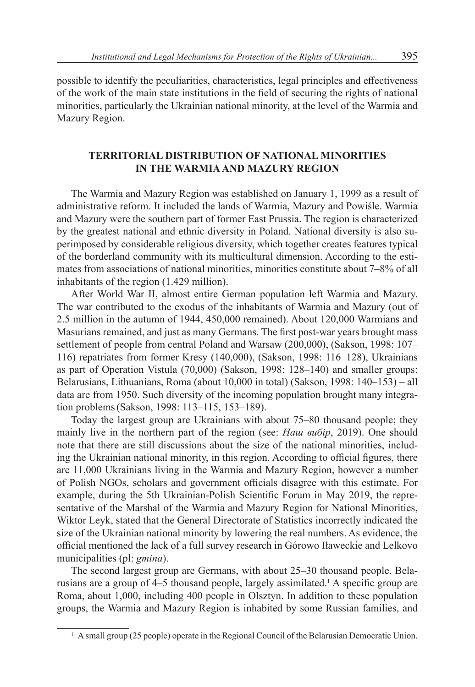possible to identify the peculiarities, characteristics, legal principles and effectiveness of the work of the main state institutions in the field of securing the rights of national minorities, particularly the Ukrainian national minority, at the level of the Warmia and Mazury Region.

# **TERRITORIAL DISTRIBUTION OF NATIONAL MINORITIES IN THE WARMIA AND MAZURY REGION**

The Warmia and Mazury Region was established on January 1, 1999 as a result of administrative reform. It included the lands of Warmia, Mazury and Powiśle. Warmia and Mazury were the southern part of former East Prussia. The region is characterized by the greatest national and ethnic diversity in Poland. National diversity is also superimposed by considerable religious diversity, which together creates features typical of the borderland community with its multicultural dimension. According to the estimates from associations of national minorities, minorities constitute about 7–8% of all inhabitants of the region (1.429 million).

After World War II, almost entire German population left Warmia and Mazury. The war contributed to the exodus of the inhabitants of Warmia and Mazury (out of 2.5 million in the autumn of 1944, 450,000 remained). About 120,000 Warmians and Masurians remained, and just as many Germans. The first post-war years brought mass settlement of people from central Poland and Warsaw (200,000), (Sakson, 1998: 107– 116) repatriates from former Kresy (140,000), (Sakson, 1998: 116–128), Ukrainians as part of Operation Vistula (70,000) (Sakson, 1998: 128–140) and smaller groups: Belarusians, Lithuanians, Roma (about 10,000 in total) (Sakson, 1998: 140–153) – all data are from 1950. Such diversity of the incoming population brought many integration problems(Sakson, 1998: 113–115, 153–189).

Today the largest group are Ukrainians with about 75–80 thousand people; they mainly live in the northern part of the region (see: *Наш вибір*, 2019). One should note that there are still discussions about the size of the national minorities, including the Ukrainian national minority, in this region. According to official figures, there are 11,000 Ukrainians living in the Warmia and Mazury Region, however a number of Polish NGOs, scholars and government officials disagree with this estimate. For example, during the 5th Ukrainian-Polish Scientific Forum in May 2019, the representative of the Marshal of the Warmia and Mazury Region for National Minorities, Wiktor Leyk, stated that the General Directorate of Statistics incorrectly indicated the size of the Ukrainian national minority by lowering the real numbers. As evidence, the official mentioned the lack of a full survey research in Górowo Iławeckie and Lelkovo municipalities (pl: *gmina*).

The second largest group are Germans, with about 25–30 thousand people. Belarusians are a group of 4–5 thousand people, largely assimilated.<sup>1</sup> A specific group are Roma, about 1,000, including 400 people in Olsztyn. In addition to these population groups, the Warmia and Mazury Region is inhabited by some Russian families, and

<sup>&</sup>lt;sup>1</sup> A small group (25 people) operate in the Regional Council of the Belarusian Democratic Union.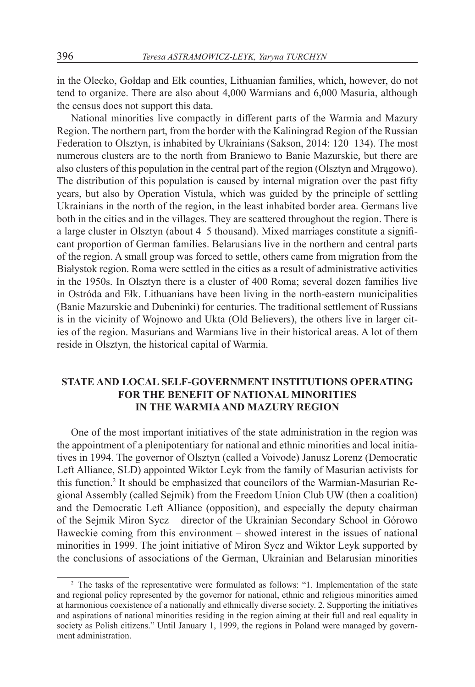in the Olecko, Gołdap and Ełk counties, Lithuanian families, which, however, do not tend to organize. There are also about 4,000 Warmians and 6,000 Masuria, although the census does not support this data.

National minorities live compactly in different parts of the Warmia and Mazury Region. The northern part, from the border with the Kaliningrad Region of the Russian Federation to Olsztyn, is inhabited by Ukrainians (Sakson, 2014: 120–134). The most numerous clusters are to the north from Braniewo to Banie Mazurskie, but there are also clusters of this population in the central part of the region (Olsztyn and Mrągowo). The distribution of this population is caused by internal migration over the past fifty years, but also by Operation Vistula, which was guided by the principle of settling Ukrainians in the north of the region, in the least inhabited border area. Germans live both in the cities and in the villages. They are scattered throughout the region. There is a large cluster in Olsztyn (about 4–5 thousand). Mixed marriages constitute a significant proportion of German families. Belarusians live in the northern and central parts of the region. A small group was forced to settle, others came from migration from the Białystok region. Roma were settled in the cities as a result of administrative activities in the 1950s. In Olsztyn there is a cluster of 400 Roma; several dozen families live in Ostróda and Ełk. Lithuanians have been living in the north-eastern municipalities (Banie Mazurskie and Dubeninki) for centuries. The traditional settlement of Russians is in the vicinity of Wojnowo and Ukta (Old Believers), the others live in larger cities of the region. Masurians and Warmians live in their historical areas. A lot of them reside in Olsztyn, the historical capital of Warmia.

# **STATE AND LOCAL SELF-GOVERNMENT INSTITUTIONS OPERATING FOR THE BENEFIT OF NATIONAL MINORITIES IN THE WARMIA AND MAZURY REGION**

One of the most important initiatives of the state administration in the region was the appointment of a plenipotentiary for national and ethnic minorities and local initiatives in 1994. The governor of Olsztyn (called a Voivode) Janusz Lorenz (Democratic Left Alliance, SLD) appointed Wiktor Leyk from the family of Masurian activists for this function.<sup>2</sup> It should be emphasized that councilors of the Warmian-Masurian Regional Assembly (called Sejmik) from the Freedom Union Club UW (then a coalition) and the Democratic Left Alliance (opposition), and especially the deputy chairman of the Sejmik Miron Sycz – director of the Ukrainian Secondary School in Górowo Iławeckie coming from this environment – showed interest in the issues of national minorities in 1999. The joint initiative of Miron Sycz and Wiktor Leyk supported by the conclusions of associations of the German, Ukrainian and Belarusian minorities

<sup>&</sup>lt;sup>2</sup> The tasks of the representative were formulated as follows: "1. Implementation of the state and regional policy represented by the governor for national, ethnic and religious minorities aimed at harmonious coexistence of a nationally and ethnically diverse society. 2. Supporting the initiatives and aspirations of national minorities residing in the region aiming at their full and real equality in society as Polish citizens." Until January 1, 1999, the regions in Poland were managed by government administration.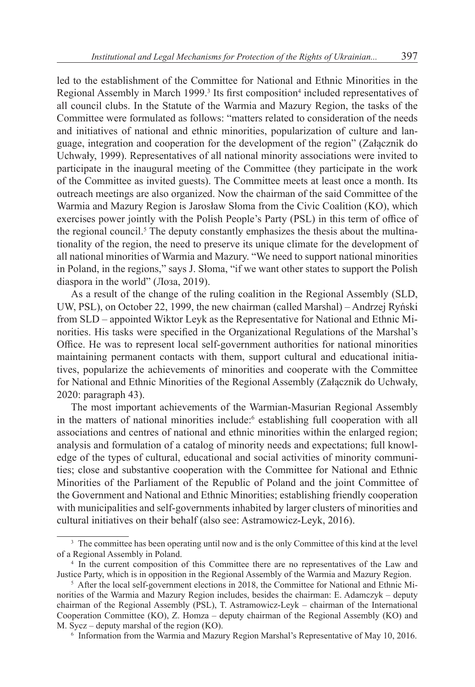led to the establishment of the Committee for National and Ethnic Minorities in the Regional Assembly in March 1999.<sup>3</sup> Its first composition<sup>4</sup> included representatives of all council clubs. In the Statute of the Warmia and Mazury Region, the tasks of the Committee were formulated as follows: "matters related to consideration of the needs and initiatives of national and ethnic minorities, popularization of culture and language, integration and cooperation for the development of the region" (Załącznik do Uchwały, 1999). Representatives of all national minority associations were invited to participate in the inaugural meeting of the Committee (they participate in the work of the Committee as invited guests). The Committee meets at least once a month. Its outreach meetings are also organized. Now the chairman of the said Committee of the Warmia and Mazury Region is Jarosław Słoma from the Сivic Coalition (KO), which exercises power jointly with the Polish People's Party (PSL) in this term of office of the regional council.<sup>5</sup> The deputy constantly emphasizes the thesis about the multinationality of the region, the need to preserve its unique climate for the development of all national minorities of Warmia and Mazury. "We need to support national minorities in Poland, in the regions," says J. Słoma, "if we want other states to support the Polish diaspora in the world" (Лоза, 2019).

As a result of the change of the ruling coalition in the Regional Assembly (SLD, UW, PSL), on October 22, 1999, the new chairman (called Marshal) – Andrzej Ryński from SLD – appointed Wiktor Leyk as the Representative for National and Ethnic Minorities. His tasks were specified in the Organizational Regulations of the Marshal's Office. He was to represent local self-government authorities for national minorities maintaining permanent contacts with them, support cultural and educational initiatives, popularize the achievements of minorities and cooperate with the Committee for National and Ethnic Minorities of the Regional Assembly (Załącznik do Uchwały, 2020: paragraph 43).

The most important achievements of the Warmian-Masurian Regional Assembly in the matters of national minorities include:<sup>6</sup> establishing full cooperation with all associations and centres of national and ethnic minorities within the enlarged region; analysis and formulation of a catalog of minority needs and expectations; full knowledge of the types of cultural, educational and social activities of minority communities; close and substantive cooperation with the Committee for National and Ethnic Minorities of the Parliament of the Republic of Poland and the joint Committee of the Government and National and Ethnic Minorities; establishing friendly cooperation with municipalities and self-governments inhabited by larger clusters of minorities and cultural initiatives on their behalf (also see: Astramowicz-Leyk, 2016).

<sup>&</sup>lt;sup>3</sup> The committee has been operating until now and is the only Committee of this kind at the level of a Regional Assembly in Poland.

<sup>&</sup>lt;sup>4</sup> In the current composition of this Committee there are no representatives of the Law and Justice Party, which is in opposition in the Regional Assembly of the Warmia and Mazury Region.

<sup>5</sup> After the local self-government elections in 2018, the Committee for National and Ethnic Minorities of the Warmia and Mazury Region includes, besides the chairman: E. Adamczyk – deputy chairman of the Regional Assembly (PSL), T. Astramowicz-Leyk – chairman of the International Cooperation Committee (KO), Z. Homza – deputy chairman of the Regional Assembly (KO) and M. Sycz – deputy marshal of the region (KO).

<sup>6</sup> Information from the Warmia and Mazury Region Marshal's Representative of May 10, 2016.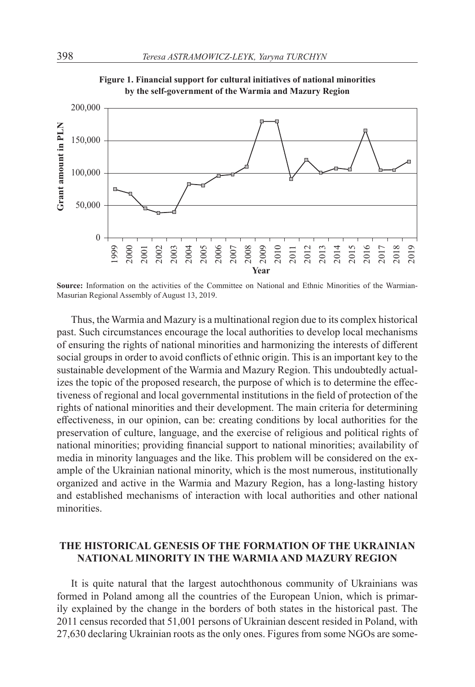

**Figure 1. Financial support for cultural initiatives of national minorities by the self-government of the Warmia and Mazury Region**

Thus, the Warmia and Mazury is a multinational region due to its complex historical past. Such circumstances encourage the local authorities to develop local mechanisms of ensuring the rights of national minorities and harmonizing the interests of different social groups in order to avoid conflicts of ethnic origin. This is an important key to the sustainable development of the Warmia and Mazury Region. This undoubtedly actualizes the topic of the proposed research, the purpose of which is to determine the effectiveness of regional and local governmental institutions in the field of protection of the rights of national minorities and their development. The main criteria for determining effectiveness, in our opinion, can be: creating conditions by local authorities for the preservation of culture, language, and the exercise of religious and political rights of national minorities; providing financial support to national minorities; availability of media in minority languages and the like. This problem will be considered on the example of the Ukrainian national minority, which is the most numerous, institutionally organized and active in the Warmia and Mazury Region, has a long-lasting history and established mechanisms of interaction with local authorities and other national minorities.

# **THE HISTORICAL GENESIS OF THE FORMATION OF THE UKRAINIAN NATIONAL MINORITY IN THE WARMIA AND MAZURY REGION**

It is quite natural that the largest autochthonous community of Ukrainians was formed in Poland among all the countries of the European Union, which is primarily explained by the change in the borders of both states in the historical past. The 2011 census recorded that 51,001 persons of Ukrainian descent resided in Poland, with 27,630 declaring Ukrainian roots as the only ones. Figures from some NGOs are some-

Source: Information on the activities of the Committee on National and Ethnic Minorities of the Warmian-Masurian Regional Assembly of August 13, 2019.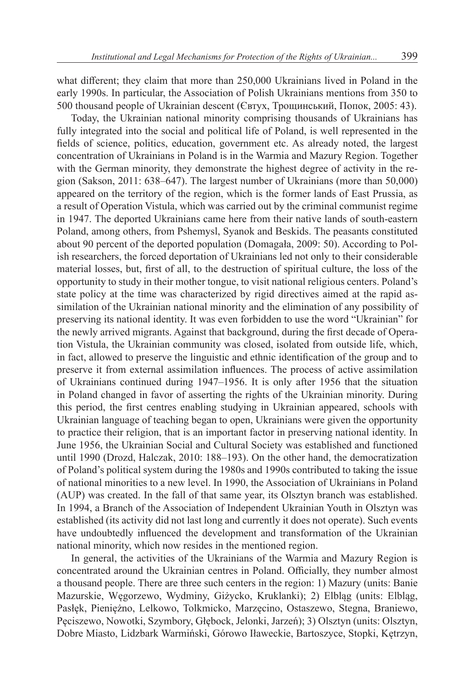what different; they claim that more than 250,000 Ukrainians lived in Poland in the early 1990s. In particular, the Association of Polish Ukrainians mentions from 350 to 500 thousand people of Ukrainian descent (Євтух, Трощинський, Попок, 2005: 43).

Today, the Ukrainian national minority comprising thousands of Ukrainians has fully integrated into the social and political life of Poland, is well represented in the fields of science, politics, education, government etc. As already noted, the largest concentration of Ukrainians in Poland is in the Warmia and Mazury Region. Together with the German minority, they demonstrate the highest degree of activity in the region (Sakson, 2011: 638–647). The largest number of Ukrainians (more than 50,000) appeared on the territory of the region, which is the former lands of East Prussia, as a result of Operation Vistula, which was carried out by the criminal communist regime in 1947. The deported Ukrainians came here from their native lands of south-eastern Poland, among others, from Pshemysl, Syanok and Beskids. The peasants constituted about 90 percent of the deported population (Domagała, 2009: 50). According to Polish researchers, the forced deportation of Ukrainians led not only to their considerable material losses, but, first of all, to the destruction of spiritual culture, the loss of the opportunity to study in their mother tongue, to visit national religious centers. Poland's state policy at the time was characterized by rigid directives aimed at the rapid assimilation of the Ukrainian national minority and the elimination of any possibility of preserving its national identity. It was even forbidden to use the word "Ukrainian" for the newly arrived migrants. Against that background, during the first decade of Operation Vistula, the Ukrainian community was closed, isolated from outside life, which, in fact, allowed to preserve the linguistic and ethnic identification of the group and to preserve it from external assimilation influences. The process of active assimilation of Ukrainians continued during 1947–1956. It is only after 1956 that the situation in Poland changed in favor of asserting the rights of the Ukrainian minority. During this period, the first centres enabling studying in Ukrainian appeared, schools with Ukrainian language of teaching began to open, Ukrainians were given the opportunity to practice their religion, that is an important factor in preserving national identity. In June 1956, the Ukrainian Social and Cultural Society was established and functioned until 1990 (Drozd, Halczak, 2010: 188–193). On the other hand, the democratization of Poland's political system during the 1980s and 1990s contributed to taking the issue of national minorities to a new level. In 1990, the Association of Ukrainians in Poland (AUP) was created. In the fall of that same year, its Olsztyn branch was established. In 1994, a Branch of the Association of Independent Ukrainian Youth in Olsztyn was established (its activity did not last long and currently it does not operate). Such events have undoubtedly influenced the development and transformation of the Ukrainian national minority, which now resides in the mentioned region.

In general, the activities of the Ukrainians of the Warmia and Mazury Region is concentrated around the Ukrainian centres in Poland. Officially, they number almost a thousand people. There are three such centers in the region: 1) Mazury (units: Banie Mazurskie, Węgorzewo, Wydminy, Giżycko, Kruklanki); 2) Elbląg (units: Elbląg, Pasłęk, Pieniężno, Lelkowo, Tolkmicko, Marzęcino, Ostaszewo, Stegna, Braniewo, Pęciszewo, Nowotki, Szymbory, Głębock, Jelonki, Jarzeń); 3) Olsztyn (units: Olsztyn, Dobre Miasto, Lidzbark Warmiński, Górowo Iławeckie, Bartoszyce, Stopki, Kętrzyn,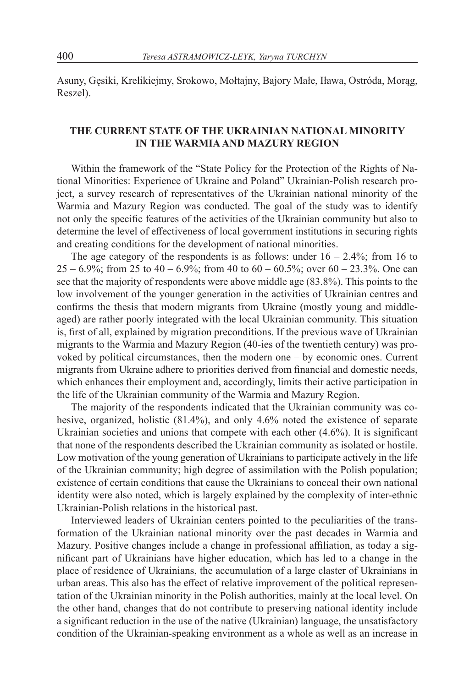Asuny, Gęsiki, Krelikiejmy, Srokowo, Mołtajny, Bajory Małe, Iława, Ostróda, Morąg, Reszel).

# **THE CURRENT STATE OF THE UKRAINIAN NATIONAL MINORITY IN THE WARMIA AND MAZURY REGION**

Within the framework of the "State Policy for the Protection of the Rights of National Minorities: Experience of Ukraine and Poland" Ukrainian-Polish research project, a survey research of representatives of the Ukrainian national minority of the Warmia and Mazury Region was conducted. The goal of the study was to identify not only the specific features of the activities of the Ukrainian community but also to determine the level of effectiveness of local government institutions in securing rights and creating conditions for the development of national minorities.

The age category of the respondents is as follows: under  $16 - 2.4\%$ ; from 16 to  $25 - 6.9\%$ ; from 25 to 40 – 6.9%; from 40 to 60 – 60.5%; over 60 – 23.3%. One can see that the majority of respondents were above middle age (83.8%). This points to the low involvement of the younger generation in the activities of Ukrainian centres and confirms the thesis that modern migrants from Ukraine (mostly young and middleaged) are rather poorly integrated with the local Ukrainian community. This situation is, first of all, explained by migration preconditions. If the previous wave of Ukrainian migrants to the Warmia and Mazury Region (40-ies of the twentieth century) was provoked by political circumstances, then the modern one – by economic ones. Current migrants from Ukraine adhere to priorities derived from financial and domestic needs, which enhances their employment and, accordingly, limits their active participation in the life of the Ukrainian community of the Warmia and Mazury Region.

The majority of the respondents indicated that the Ukrainian community was cohesive, organized, holistic (81.4%), and only 4.6% noted the existence of separate Ukrainian societies and unions that compete with each other (4.6%). It is significant that none of the respondents described the Ukrainian community as isolated or hostile. Low motivation of the young generation of Ukrainians to participate actively in the life of the Ukrainian community; high degree of assimilation with the Polish population; existence of certain conditions that cause the Ukrainians to conceal their own national identity were also noted, which is largely explained by the complexity of inter-ethnic Ukrainian-Polish relations in the historical past.

Interviewed leaders of Ukrainian centers pointed to the peculiarities of the transformation of the Ukrainian national minority over the past decades in Warmia and Mazury. Positive changes include a change in professional affiliation, as today a significant part of Ukrainians have higher education, which has led to a change in the place of residence of Ukrainians, the accumulation of a large claster of Ukrainians in urban areas. This also has the effect of relative improvement of the political representation of the Ukrainian minority in the Polish authorities, mainly at the local level. On the other hand, changes that do not contribute to preserving national identity include a significant reduction in the use of the native (Ukrainian) language, the unsatisfactory condition of the Ukrainian-speaking environment as a whole as well as an increase in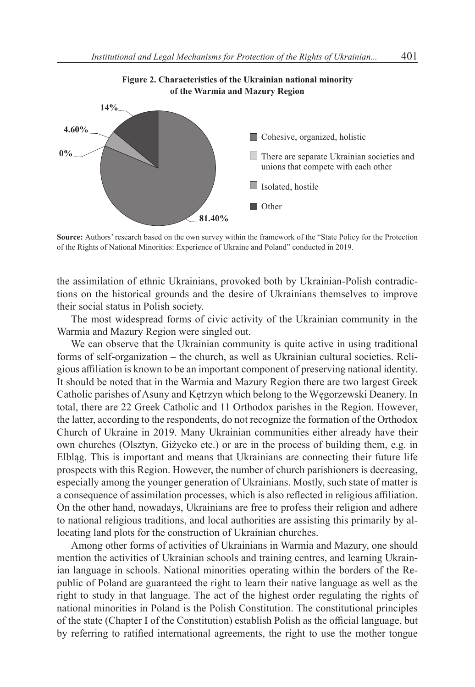

**Source:** Authors' research based on the own survey within the framework of the "State Policy for the Protection of the Rights of National Minorities: Experience of Ukraine and Poland" conducted in 2019.

the assimilation of ethnic Ukrainians, provoked both by Ukrainian-Polish contradictions on the historical grounds and the desire of Ukrainians themselves to improve their social status in Polish society.

The most widespread forms of civic activity of the Ukrainian community in the Warmia and Mazury Region were singled out.

We can observe that the Ukrainian community is quite active in using traditional forms of self-organization – the church, as well as Ukrainian cultural societies. Religious affiliation is known to be an important component of preserving national identity. It should be noted that in the Warmia and Mazury Region there are two largest Greek Catholic parishes of Asuny and Kętrzyn which belong to the Węgorzewski Deanery. In total, there are 22 Greek Catholic and 11 Orthodox parishes in the Region. However, the latter, according to the respondents, do not recognize the formation of the Orthodox Church of Ukraine in 2019. Many Ukrainian communities either already have their own churches (Olsztyn, Giżycko etc.) or are in the process of building them, e.g. in Elbląg. This is important and means that Ukrainians are connecting their future life prospects with this Region. However, the number of church parishioners is decreasing, especially among the younger generation of Ukrainians. Mostly, such state of matter is a consequence of assimilation processes, which is also reflected in religious affiliation. On the other hand, nowadays, Ukrainians are free to profess their religion and adhere to national religious traditions, and local authorities are assisting this primarily by allocating land plots for the construction of Ukrainian churches.

Among other forms of activities of Ukrainians in Warmia and Mazury, one should mention the activities of Ukrainian schools and training centres, and learning Ukrainian language in schools. National minorities operating within the borders of the Republic of Poland are guaranteed the right to learn their native language as well as the right to study in that language. The act of the highest order regulating the rights of national minorities in Poland is the Polish Constitution. The constitutional principles of the state (Chapter I of the Constitution) establish Polish as the official language, but by referring to ratified international agreements, the right to use the mother tongue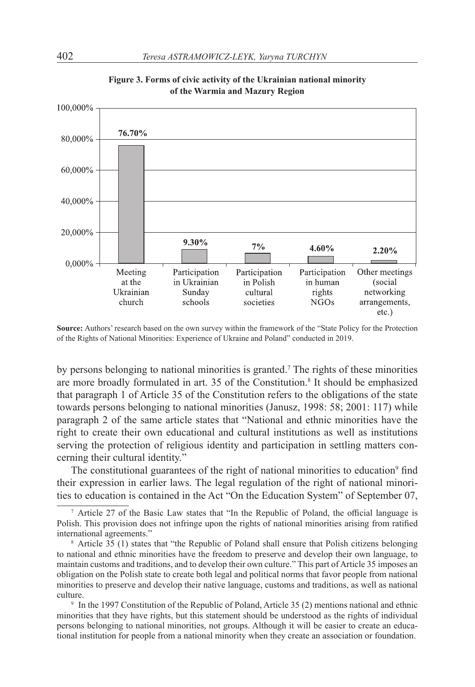

**Figure 3. Forms of civic activity of the Ukrainian national minority of the Warmia and Mazury Region**

**Source:** Authors' research based on the own survey within the framework of the "State Policy for the Protection of the Rights of National Minorities: Experience of Ukraine and Poland" conducted in 2019.

by persons belonging to national minorities is granted.<sup>7</sup> The rights of these minorities are more broadly formulated in art. 35 of the Constitution.<sup>8</sup> It should be emphasized that paragraph 1 of Article 35 of the Constitution refers to the obligations of the state towards persons belonging to national minorities (Janusz, 1998: 58; 2001: 117) while paragraph 2 of the same article states that "National and ethnic minorities have the right to create their own educational and cultural institutions as well as institutions serving the protection of religious identity and participation in settling matters concerning their cultural identity."

The constitutional guarantees of the right of national minorities to education<sup>9</sup> find their expression in earlier laws. The legal regulation of the right of national minorities to education is contained in the Act "On the Education System" of September 07,

<sup>7</sup> Article 27 of the Basic Law states that "In the Republic of Poland, the official language is Polish. This provision does not infringe upon the rights of national minorities arising from ratified international agreements."

<sup>8</sup> Article 35 (1) states that "the Republic of Poland shall ensure that Polish citizens belonging to national and ethnic minorities have the freedom to preserve and develop their own language, to maintain customs and traditions, and to develop their own culture." This part of Article 35 imposes an obligation on the Polish state to create both legal and political norms that favor people from national minorities to preserve and develop their native language, customs and traditions, as well as national culture.

<sup>&</sup>lt;sup>9</sup> In the 1997 Constitution of the Republic of Poland, Article 35 (2) mentions national and ethnic minorities that they have rights, but this statement should be understood as the rights of individual persons belonging to national minorities, not groups. Although it will be easier to create an educational institution for people from a national minority when they create an association or foundation.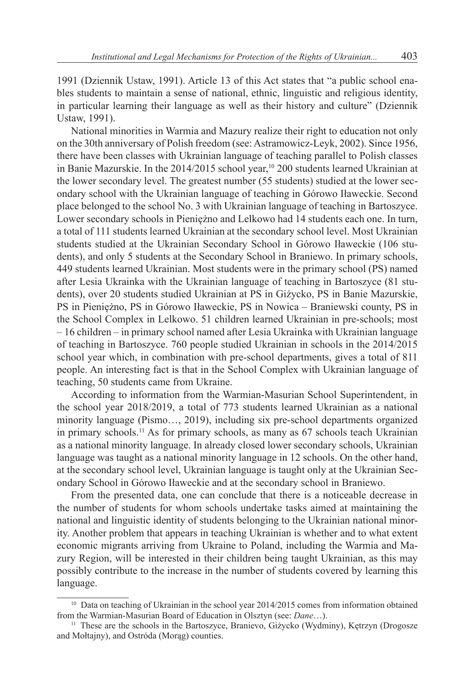1991 (Dziennik Ustaw, 1991). Article 13 of this Act states that "a public school enables students to maintain a sense of national, ethnic, linguistic and religious identity, in particular learning their language as well as their history and culture" (Dziennik Ustaw, 1991).

National minorities in Warmia and Mazury realize their right to education not only on the 30th anniversary of Polish freedom (see: Astramowicz-Leyk, 2002). Since 1956, there have been classes with Ukrainian language of teaching parallel to Polish classes in Banie Mazurskie. In the 2014/2015 school year,<sup>10</sup> 200 students learned Ukrainian at the lower secondary level. The greatest number (55 students) studied at the lower secondary school with the Ukrainian language of teaching in Górowo Iławeckie. Second place belonged to the school No. 3 with Ukrainian language of teaching in Bartoszyce. Lower secondary schools in Pieniężno and Lelkowo had 14 students each one. In turn, a total of 111 students learned Ukrainian at the secondary school level. Most Ukrainian students studied at the Ukrainian Secondary School in Górowo Iławeckie (106 students), and only 5 students at the Secondary School in Braniewo. In primary schools, 449 students learned Ukrainian. Most students were in the primary school (PS) named after Lesia Ukrainka with the Ukrainian language of teaching in Bartoszyce (81 students), over 20 students studied Ukrainian at PS in Giżycko, PS in Banie Mazurskie, PS in Pieniężno, PS in Górowo Iławeckie, PS in Nowica – Braniewski county, PS in the School Complex in Lelkowo. 51 children learned Ukrainian in pre-schools; most – 16 children – in primary school named after Lesia Ukrainka with Ukrainian language of teaching in Bartoszyce. 760 people studied Ukrainian in schools in the 2014/2015 school year which, in combination with pre-school departments, gives a total of 811 people. An interesting fact is that in the School Complex with Ukrainian language of teaching, 50 students came from Ukraine.

According to information from the Warmian-Masurian School Superintendent, in the school year 2018/2019, a total of 773 students learned Ukrainian as a national minority language (Pismo…, 2019), including six pre-school departments organized in primary schools.<sup>11</sup> As for primary schools, as many as 67 schools teach Ukrainian as a national minority language. In already closed lower secondary schools, Ukrainian language was taught as a national minority language in 12 schools. On the other hand, at the secondary school level, Ukrainian language is taught only at the Ukrainian Secondary School in Górowo Iławeckie and at the secondary school in Braniewo.

From the presented data, one can conclude that there is a noticeable decrease in the number of students for whom schools undertake tasks aimed at maintaining the national and linguistic identity of students belonging to the Ukrainian national minority. Another problem that appears in teaching Ukrainian is whether and to what extent economic migrants arriving from Ukraine to Poland, including the Warmia and Mazury Region, will be interested in their children being taught Ukrainian, as this may possibly contribute to the increase in the number of students covered by learning this language.

<sup>&</sup>lt;sup>10</sup> Data on teaching of Ukrainian in the school year 2014/2015 comes from information obtained from the Warmian-Masurian Board of Education in Olsztyn (see: *Dane*…).

<sup>&</sup>lt;sup>11</sup> These are the schools in the Bartoszyce, Branievo, Giżycko (Wydminy), Kętrzyn (Drogosze and Mołtajny), and Ostróda (Morąg) counties.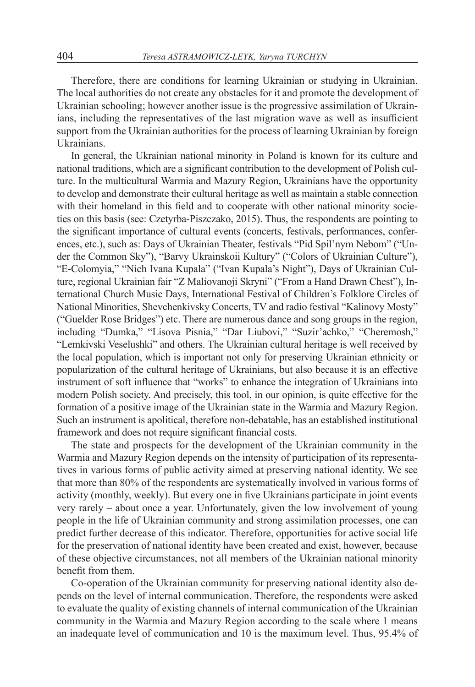Therefore, there are conditions for learning Ukrainian or studying in Ukrainian. The local authorities do not create any obstacles for it and promote the development of Ukrainian schooling; however another issue is the progressive assimilation of Ukrainians, including the representatives of the last migration wave as well as insufficient support from the Ukrainian authorities for the process of learning Ukrainian by foreign Ukrainians.

In general, the Ukrainian national minority in Poland is known for its culture and national traditions, which are a significant contribution to the development of Polish culture. In the multicultural Warmia and Mazury Region, Ukrainians have the opportunity to develop and demonstrate their cultural heritage as well as maintain a stable connection with their homeland in this field and to cooperate with other national minority societies on this basis (see: Czetyrba-Piszczako, 2015). Thus, the respondents are pointing to the significant importance of cultural events (concerts, festivals, performances, conferences, etc.), such as: Days of Ukrainian Theater, festivals "Pid Spil'nym Nebom" ("Under the Common Sky"), "Barvy Ukrainskoii Kultury" ("Colors of Ukrainian Culture"), "E-Colomyia," "Nich Ivana Kupala" ("Ivan Kupala's Night"), Days of Ukrainian Culture, regional Ukrainian fair "Z Maliovanoji Skryni" ("From a Hand Drawn Chest"), International Church Music Days, International Festival of Children's Folklore Circles of National Minorities, Shevchenkivsky Concerts, TV and radio festival "Kalinovy Mosty" ("Guelder Rose Bridges") etc. There are numerous dance and song groups in the region, including "Dumka," "Lisova Pisnia," "Dar Liubovi," "Suzir'achko," "Cheremosh," "Lemkivski Veselushki" and others. The Ukrainian cultural heritage is well received by the local population, which is important not only for preserving Ukrainian ethnicity or popularization of the cultural heritage of Ukrainians, but also because it is an effective instrument of soft influence that "works" to enhance the integration of Ukrainians into modern Polish society. And precisely, this tool, in our opinion, is quite effective for the formation of a positive image of the Ukrainian state in the Warmia and Mazury Region. Such an instrument is apolitical, therefore non-debatable, has an established institutional framework and does not require significant financial costs.

The state and prospects for the development of the Ukrainian community in the Warmia and Mazury Region depends on the intensity of participation of its representatives in various forms of public activity aimed at preserving national identity. We see that more than 80% of the respondents are systematically involved in various forms of activity (monthly, weekly). But every one in five Ukrainians participate in joint events very rarely – about once a year. Unfortunately, given the low involvement of young people in the life of Ukrainian community and strong assimilation processes, one can predict further decrease of this indicator. Therefore, opportunities for active social life for the preservation of national identity have been created and exist, however, because of these objective circumstances, not all members of the Ukrainian national minority benefit from them.

Co-operation of the Ukrainian community for preserving national identity also depends on the level of internal communication. Therefore, the respondents were asked to evaluate the quality of existing channels of internal communication of the Ukrainian community in the Warmia and Mazury Region according to the scale where 1 means an inadequate level of communication and 10 is the maximum level. Thus, 95.4% of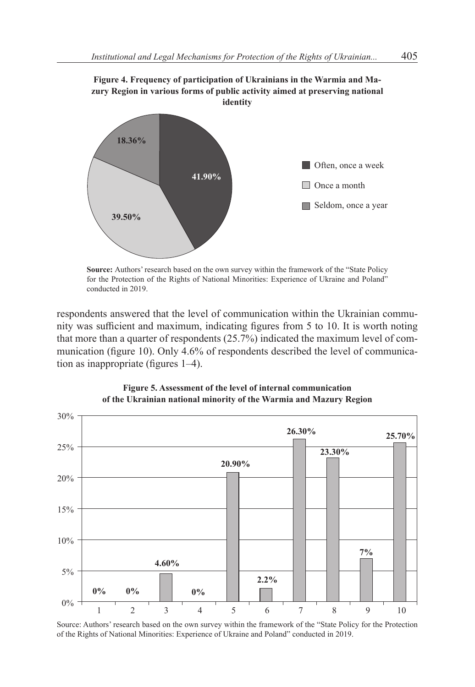



**Source:** Authors' research based on the own survey within the framework of the "State Policy for the Protection of the Rights of National Minorities: Experience of Ukraine and Poland" conducted in 2019.

respondents answered that the level of communication within the Ukrainian community was sufficient and maximum, indicating figures from 5 to 10. It is worth noting that more than a quarter of respondents (25.7%) indicated the maximum level of communication (figure 10). Only 4.6% of respondents described the level of communication as inappropriate (figures 1–4).



**Figure 5. Assessment of the level of internal communication of the Ukrainian national minority of the Warmia and Mazury Region**

Source: Authors' research based on the own survey within the framework of the "State Policy for the Protection of the Rights of National Minorities: Experience of Ukraine and Poland" conducted in 2019.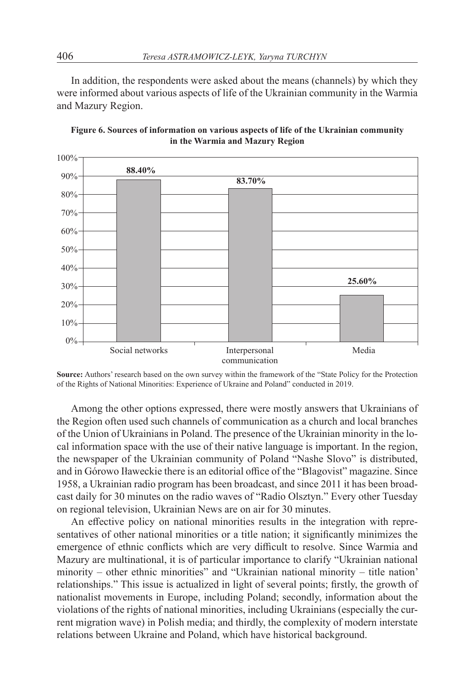In addition, the respondents were asked about the means (channels) by which they were informed about various aspects of life of the Ukrainian community in the Warmia and Mazury Region.





**Source:** Authors' research based on the own survey within the framework of the "State Policy for the Protection of the Rights of National Minorities: Experience of Ukraine and Poland" conducted in 2019.

Among the other options expressed, there were mostly answers that Ukrainians of the Region often used such channels of communication as a church and local branches of the Union of Ukrainians in Poland. The presence of the Ukrainian minority in the local information space with the use of their native language is important. In the region, the newspaper of the Ukrainian community of Poland "Nashe Slovo" is distributed, and in Górowo Iławeckie there is an editorial office of the "Blagovist" magazine. Since 1958, a Ukrainian radio program has been broadcast, and since 2011 it has been broadcast daily for 30 minutes on the radio waves of "Radio Olsztyn." Every other Tuesday on regional television, Ukrainian News are on air for 30 minutes.

An effective policy on national minorities results in the integration with representatives of other national minorities or a title nation; it significantly minimizes the emergence of ethnic conflicts which are very difficult to resolve. Since Warmia and Mazury are multinational, it is of particular importance to clarify "Ukrainian national minority – other ethnic minorities" and "Ukrainian national minority – title nation' relationships." This issue is actualized in light of several points; firstly, the growth of nationalist movements in Europe, including Poland; secondly, information about the violations of the rights of national minorities, including Ukrainians (especially the current migration wave) in Polish media; and thirdly, the complexity of modern interstate relations between Ukraine and Poland, which have historical background.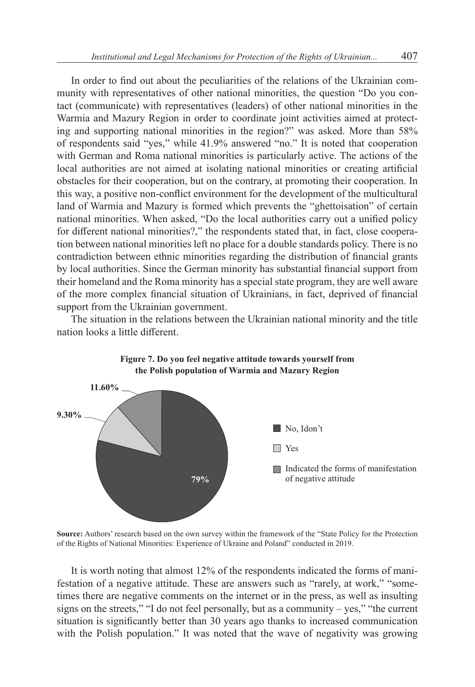In order to find out about the peculiarities of the relations of the Ukrainian community with representatives of other national minorities, the question "Do you contact (communicate) with representatives (leaders) of other national minorities in the Warmia and Mazury Region in order to coordinate joint activities aimed at protecting and supporting national minorities in the region?" was asked. More than 58% of respondents said "yes," while 41.9% answered "no." It is noted that cooperation with German and Roma national minorities is particularly active. The actions of the local authorities are not aimed at isolating national minorities or creating artificial obstacles for their cooperation, but on the contrary, at promoting their cooperation. In this way, a positive non-conflict environment for the development of the multicultural land of Warmia and Mazury is formed which prevents the "ghettoisation" of certain national minorities. When asked, "Do the local authorities carry out a unified policy for different national minorities?," the respondents stated that, in fact, close cooperation between national minorities left no place for a double standards policy. There is no contradiction between ethnic minorities regarding the distribution of financial grants by local authorities. Since the German minority has substantial financial support from their homeland and the Roma minority has a special state program, they are well aware of the more complex financial situation of Ukrainians, in fact, deprived of financial support from the Ukrainian government.

The situation in the relations between the Ukrainian national minority and the title nation looks a little different.





**Source:** Authors' research based on the own survey within the framework of the "State Policy for the Protection of the Rights of National Minorities: Experience of Ukraine and Poland" conducted in 2019.

It is worth noting that almost 12% of the respondents indicated the forms of manifestation of a negative attitude. These are answers such as "rarely, at work," "sometimes there are negative comments on the internet or in the press, as well as insulting signs on the streets," "I do not feel personally, but as a community – yes," "the current situation is significantly better than 30 years ago thanks to increased communication with the Polish population." It was noted that the wave of negativity was growing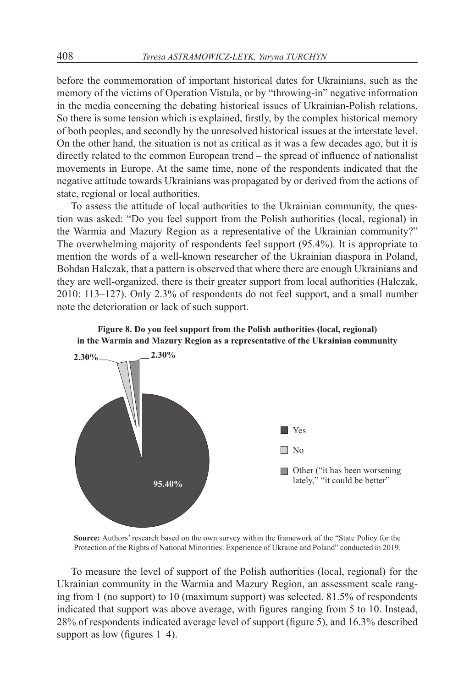before the commemoration of important historical dates for Ukrainians, such as the memory of the victims of Operation Vistula, or by "throwing-in" negative information in the media concerning the debating historical issues of Ukrainian-Polish relations. So there is some tension which is explained, firstly, by the complex historical memory of both peoples, and secondly by the unresolved historical issues at the interstate level. On the other hand, the situation is not as critical as it was a few decades ago, but it is directly related to the common European trend – the spread of influence of nationalist movements in Europe. At the same time, none of the respondents indicated that the negative attitude towards Ukrainians was propagated by or derived from the actions of state, regional or local authorities.

To assess the attitude of local authorities to the Ukrainian community, the question was asked: "Do you feel support from the Polish authorities (local, regional) in the Warmia and Mazury Region as a representative of the Ukrainian community?" The overwhelming majority of respondents feel support (95.4%). It is appropriate to mention the words of a well-known researcher of the Ukrainian diaspora in Poland, Bohdan Halczak, that a pattern is observed that where there are enough Ukrainians and they are well-organized, there is their greater support from local authorities (Halczak, 2010: 113–127). Only 2.3% of respondents do not feel support, and a small number note the deterioration or lack of such support.





**Source:** Authors' research based on the own survey within the framework of the "State Policy for the Protection of the Rights of National Minorities: Experience of Ukraine and Poland" conducted in 2019.

To measure the level of support of the Polish authorities (local, regional) for the Ukrainian community in the Warmia and Mazury Region, an assessment scale ranging from 1 (no support) to 10 (maximum support) was selected. 81.5% of respondents indicated that support was above average, with figures ranging from 5 to 10. Instead, 28% of respondents indicated average level of support (figure 5), and 16.3% described support as low (figures 1–4).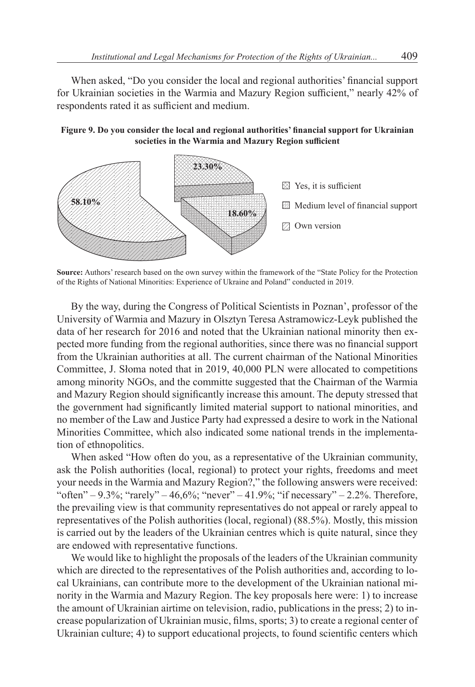When asked, "Do you consider the local and regional authorities' financial support for Ukrainian societies in the Warmia and Mazury Region sufficient," nearly 42% of respondents rated it as sufficient and medium.





**Source:** Authors' research based on the own survey within the framework of the "State Policy for the Protection of the Rights of National Minorities: Experience of Ukraine and Poland" conducted in 2019.

By the way, during the Congress of Political Scientists in Poznan', professor of the University of Warmia and Mazury in Olsztyn Teresa Astramowicz-Leyk published the data of her research for 2016 and noted that the Ukrainian national minority then expected more funding from the regional authorities, since there was no financial support from the Ukrainian authorities at all. The current chairman of the National Minorities Committee, J. Słoma noted that in 2019, 40,000 PLN were allocated to competitions among minority NGOs, and the committe suggested that the Chairman of the Warmia and Mazury Region should significantly increase this amount. The deputy stressed that the government had significantly limited material support to national minorities, and no member of the Law and Justice Party had expressed a desire to work in the National Minorities Committee, which also indicated some national trends in the implementation of ethnopolitics.

When asked "How often do you, as a representative of the Ukrainian community, ask the Polish authorities (local, regional) to protect your rights, freedoms and meet your needs in the Warmia and Mazury Region?," the following answers were received: "often" – 9.3%; "rarely" – 46,6%; "never" – 41.9%; "if necessary" – 2.2%. Therefore, the prevailing view is that community representatives do not appeal or rarely appeal to representatives of the Polish authorities (local, regional) (88.5%). Mostly, this mission is carried out by the leaders of the Ukrainian centres which is quite natural, since they are endowed with representative functions.

We would like to highlight the proposals of the leaders of the Ukrainian community which are directed to the representatives of the Polish authorities and, according to local Ukrainians, can contribute more to the development of the Ukrainian national minority in the Warmia and Mazury Region. The key proposals here were: 1) to increase the amount of Ukrainian airtime on television, radio, publications in the press; 2) to increase popularization of Ukrainian music, films, sports; 3) to create a regional center of Ukrainian culture; 4) to support educational projects, to found scientific centers which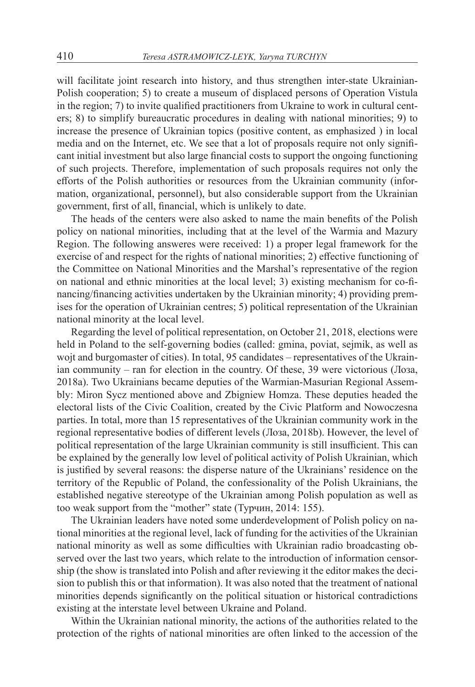will facilitate joint research into history, and thus strengthen inter-state Ukrainian-Polish cooperation; 5) to create a museum of displaced persons of Operation Vistula in the region; 7) to invite qualified practitioners from Ukraine to work in cultural centers; 8) to simplify bureaucratic procedures in dealing with national minorities; 9) to increase the presence of Ukrainian topics (positive content, as emphasized ) in local media and on the Internet, etc. We see that a lot of proposals require not only significant initial investment but also large financial costs to support the ongoing functioning of such projects. Therefore, implementation of such proposals requires not only the efforts of the Polish authorities or resources from the Ukrainian community (information, organizational, personnel), but also considerable support from the Ukrainian government, first of all, financial, which is unlikely to date.

The heads of the centers were also asked to name the main benefits of the Polish policy on national minorities, including that at the level of the Warmia and Mazury Region. The following answeres were received: 1) a proper legal framework for the exercise of and respect for the rights of national minorities; 2) effective functioning of the Committee on National Minorities and the Marshal's representative of the region on national and ethnic minorities at the local level; 3) existing mechanism for co-financing/financing activities undertaken by the Ukrainian minority; 4) providing premises for the operation of Ukrainian centres; 5) political representation of the Ukrainian national minority at the local level.

Regarding the level of political representation, on October 21, 2018, elections were held in Poland to the self-governing bodies (called: gmina, poviat, sejmik, as well as wojt and burgomaster of cities). In total, 95 candidates – representatives of the Ukrainian community – ran for election in the country. Of these, 39 were victorious (Лоза, 2018a). Two Ukrainians became deputies of the Warmian-Masurian Regional Assembly: Miron Sycz mentioned above and Zbigniew Homza. These deputies headed the electoral lists of the Civic Coalition, created by the Civic Platform and Nowoczesna parties. In total, more than 15 representatives of the Ukrainian community work in the regional representative bodies of different levels (Лоза, 2018b). However, the level of political representation of the large Ukrainian community is still insufficient. This can be explained by the generally low level of political activity of Polish Ukrainian, which is justified by several reasons: the disperse nature of the Ukrainians' residence on the territory of the Republic of Poland, the confessionality of the Polish Ukrainians, the established negative stereotype of the Ukrainian among Polish population as well as too weak support from the "mother" state (Турчин, 2014: 155).

The Ukrainian leaders have noted some underdevelopment of Polish policy on national minorities at the regional level, lack of funding for the activities of the Ukrainian national minority as well as some difficulties with Ukrainian radio broadcasting observed over the last two years, which relate to the introduction of information censorship (the show is translated into Polish and after reviewing it the editor makes the decision to publish this or that information). It was also noted that the treatment of national minorities depends significantly on the political situation or historical contradictions existing at the interstate level between Ukraine and Poland.

Within the Ukrainian national minority, the actions of the authorities related to the protection of the rights of national minorities are often linked to the accession of the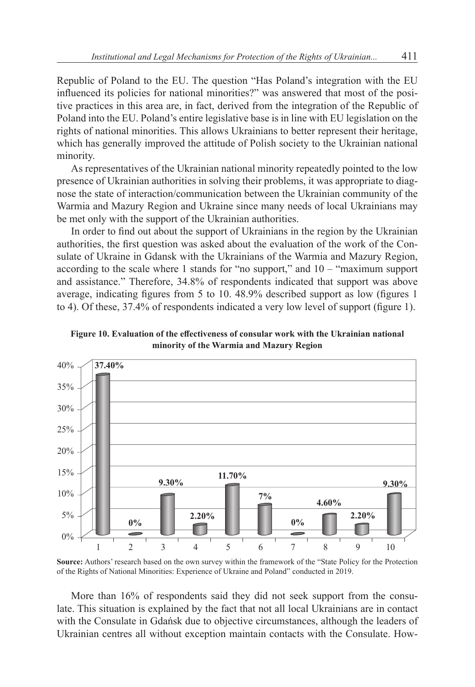Republic of Poland to the EU. The question "Has Poland's integration with the EU influenced its policies for national minorities?" was answered that most of the positive practices in this area are, in fact, derived from the integration of the Republic of Poland into the EU. Poland's entire legislative base is in line with EU legislation on the rights of national minorities. This allows Ukrainians to better represent their heritage, which has generally improved the attitude of Polish society to the Ukrainian national minority.

As representatives of the Ukrainian national minority repeatedly pointed to the low presence of Ukrainian authorities in solving their problems, it was appropriate to diagnose the state of interaction/communication between the Ukrainian community of the Warmia and Mazury Region and Ukraine since many needs of local Ukrainians may be met only with the support of the Ukrainian authorities.

In order to find out about the support of Ukrainians in the region by the Ukrainian authorities, the first question was asked about the evaluation of the work of the Consulate of Ukraine in Gdansk with the Ukrainians of the Warmia and Mazury Region, according to the scale where 1 stands for "no support," and 10 – "maximum support and assistance." Therefore, 34.8% of respondents indicated that support was above average, indicating figures from 5 to 10. 48.9% described support as low (figures 1 to 4). Of these, 37.4% of respondents indicated a very low level of support (figure 1).



**Figure 10. Evaluation of the effectiveness of consular work with the Ukrainian national minority of the Warmia and Mazury Region**

**Source:** Authors' research based on the own survey within the framework of the "State Policy for the Protection of the Rights of National Minorities: Experience of Ukraine and Poland" conducted in 2019.

More than 16% of respondents said they did not seek support from the consulate. This situation is explained by the fact that not all local Ukrainians are in contact with the Consulate in Gdańsk due to objective circumstances, although the leaders of Ukrainian centres all without exception maintain contacts with the Consulate. How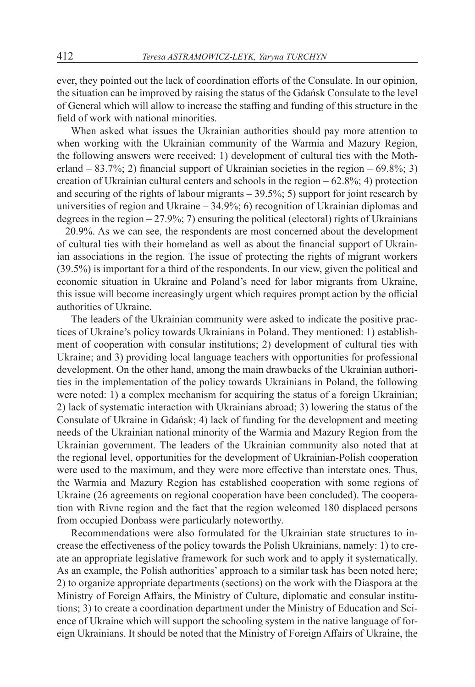ever, they pointed out the lack of coordination efforts of the Consulate. In our opinion, the situation can be improved by raising the status of the Gdańsk Consulate to the level of General which will allow to increase the staffing and funding of this structure in the field of work with national minorities.

When asked what issues the Ukrainian authorities should pay more attention to when working with the Ukrainian community of the Warmia and Mazury Region, the following answers were received: 1) development of cultural ties with the Motherland – 83.7%; 2) financial support of Ukrainian societies in the region – 69.8%; 3) creation of Ukrainian cultural centers and schools in the region  $-62.8\%$ ; 4) protection and securing of the rights of labour migrants  $-39.5\%$ ; 5) support for joint research by universities of region and Ukraine – 34.9%; 6) recognition of Ukrainian diplomas and degrees in the region  $-27.9\%$ ; 7) ensuring the political (electoral) rights of Ukrainians – 20.9%. As we can see, the respondents are most concerned about the development of cultural ties with their homeland as well as about the financial support of Ukrainian associations in the region. The issue of protecting the rights of migrant workers (39.5%) is important for a third of the respondents. In our view, given the political and economic situation in Ukraine and Poland's need for labor migrants from Ukraine, this issue will become increasingly urgent which requires prompt action by the official authorities of Ukraine.

The leaders of the Ukrainian community were asked to indicate the positive practices of Ukraine's policy towards Ukrainians in Poland. They mentioned: 1) establishment of cooperation with consular institutions; 2) development of cultural ties with Ukraine; and 3) providing local language teachers with opportunities for professional development. On the other hand, among the main drawbacks of the Ukrainian authorities in the implementation of the policy towards Ukrainians in Poland, the following were noted: 1) a complex mechanism for acquiring the status of a foreign Ukrainian; 2) lack of systematic interaction with Ukrainians abroad; 3) lowering the status of the Consulate of Ukraine in Gdańsk; 4) lack of funding for the development and meeting needs of the Ukrainian national minority of the Warmia and Mazury Region from the Ukrainian government. The leaders of the Ukrainian community also noted that at the regional level, opportunities for the development of Ukrainian-Polish cooperation were used to the maximum, and they were more effective than interstate ones. Thus, the Warmia and Mazury Region has established cooperation with some regions of Ukraine (26 agreements on regional cooperation have been concluded). The cooperation with Rivne region and the fact that the region welcomed 180 displaced persons from occupied Donbass were particularly noteworthy.

Recommendations were also formulated for the Ukrainian state structures to increase the effectiveness of the policy towards the Polish Ukrainians, namely: 1) to create an appropriate legislative framework for such work and to apply it systematically. As an example, the Polish authorities' approach to a similar task has been noted here; 2) to organize appropriate departments (sections) on the work with the Diaspora at the Ministry of Foreign Affairs, the Ministry of Culture, diplomatic and consular institutions; 3) to create a coordination department under the Ministry of Education and Science of Ukraine which will support the schooling system in the native language of foreign Ukrainians. It should be noted that the Ministry of Foreign Affairs of Ukraine, the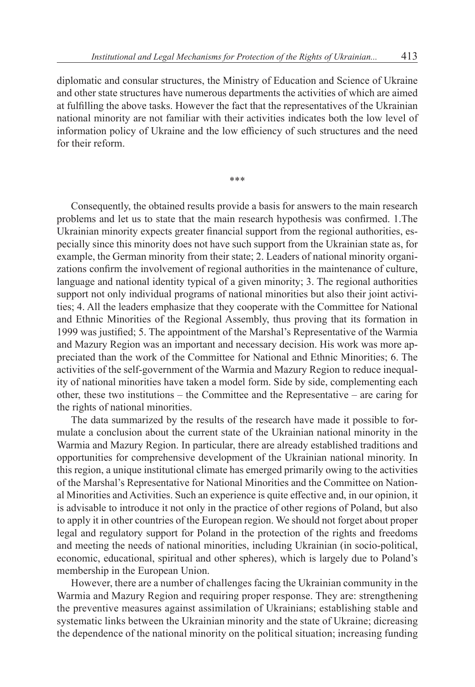diplomatic and consular structures, the Ministry of Education and Science of Ukraine and other state structures have numerous departments the activities of which are aimed at fulfilling the above tasks. However the fact that the representatives of the Ukrainian national minority are not familiar with their activities indicates both the low level of information policy of Ukraine and the low efficiency of such structures and the need for their reform.

\*\*\*

Consequently, the obtained results provide a basis for answers to the main research problems and let us to state that the main research hypothesis was confirmed. 1.The Ukrainian minority expects greater financial support from the regional authorities, especially since this minority does not have such support from the Ukrainian state as, for example, the German minority from their state; 2. Leaders of national minority organizations confirm the involvement of regional authorities in the maintenance of culture, language and national identity typical of a given minority; 3. The regional authorities support not only individual programs of national minorities but also their joint activities; 4. All the leaders emphasize that they cooperate with the Committee for National and Ethnic Minorities of the Regional Assembly, thus proving that its formation in 1999 was justified; 5. The appointment of the Marshal's Representative of the Warmia and Mazury Region was an important and necessary decision. His work was more appreciated than the work of the Committee for National and Ethnic Minorities; 6. The activities of the self-government of the Warmia and Mazury Region to reduce inequality of national minorities have taken a model form. Side by side, complementing each other, these two institutions – the Committee and the Representative – are caring for the rights of national minorities.

The data summarized by the results of the research have made it possible to formulate a conclusion about the current state of the Ukrainian national minority in the Warmia and Mazury Region. In particular, there are already established traditions and opportunities for comprehensive development of the Ukrainian national minority. In this region, a unique institutional climate has emerged primarily owing to the activities of the Marshal's Representative for National Minorities and the Committee on National Minorities and Activities. Such an experience is quite effective and, in our opinion, it is advisable to introduce it not only in the practice of other regions of Poland, but also to apply it in other countries of the European region. We should not forget about proper legal and regulatory support for Poland in the protection of the rights and freedoms and meeting the needs of national minorities, including Ukrainian (in socio-political, economic, educational, spiritual and other spheres), which is largely due to Poland's membership in the European Union.

However, there are a number of challenges facing the Ukrainian community in the Warmia and Mazury Region and requiring proper response. They are: strengthening the preventive measures against assimilation of Ukrainians; establishing stable and systematic links between the Ukrainian minority and the state of Ukraine; dicreasing the dependence of the national minority on the political situation; increasing funding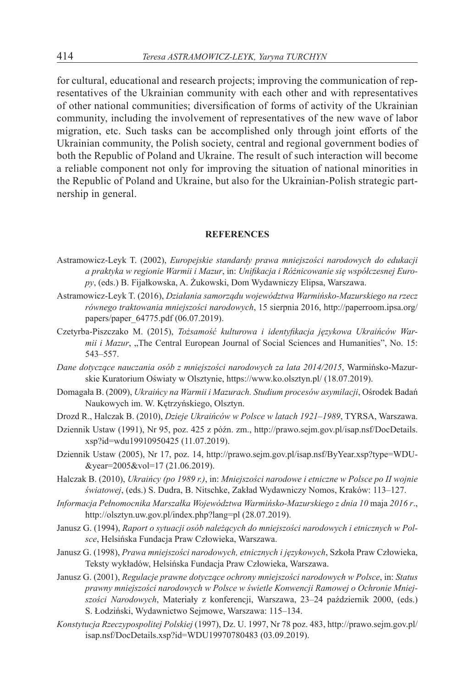for cultural, educational and research projects; improving the communication of representatives of the Ukrainian community with each other and with representatives of other national communities; diversification of forms of activity of the Ukrainian community, including the involvement of representatives of the new wave of labor migration, etc. Such tasks can be accomplished only through joint efforts of the Ukrainian community, the Polish society, central and regional government bodies of both the Republic of Poland and Ukraine. The result of such interaction will become a reliable component not only for improving the situation of national minorities in the Republic of Poland and Ukraine, but also for the Ukrainian-Polish strategic partnership in general.

#### **REFERENCES**

- Astramowicz-Leyk T. (2002), *Europejskie standardy prawa mniejszości narodowych do edukacji a praktyka w regionie Warmii i Mazur*, in: *Unifikacja i Różnicowanie się współczesnej Europy*, (eds.) B. Fijałkowska, A. Żukowski, Dom Wydawniczy Elipsa, Warszawa.
- Astramowicz-Leyk T. (2016), *Działania samorządu województwa Warmińsko-Mazurskiego na rzecz równego traktowania mniejszości narodowych*, 15 sierpnia 2016, http://paperroom.ipsa.org/ papers/paper\_64775.pdf (06.07.2019).
- Czetyrba-Piszczako M. (2015), *Tożsamość kulturowa i identyfikacja językowa Ukraińców Warmii i Mazur*, "The Central European Journal of Social Sciences and Humanities", No. 15: 543–557.
- *Dane dotyczące nauczania osób z mniejszości narodowych za lata 2014/2015*, Warmińsko-Mazurskie Kuratorium Oświaty w Olsztynie, https://www.ko.olsztyn.pl/ (18.07.2019).
- Domagała B. (2009), *Ukraińcy na Warmii i Mazurach. Studium procesów asymilacji*, Ośrodek Badań Naukowych im. W. Kętrzyńskiego, Olsztyn.
- Drozd R., Halczak B. (2010), *Dzieje Ukraińców w Polsce w latach 1921–1989*, TYRSA, Warszawa.
- Dziennik Ustaw (1991), Nr 95, poz. 425 z późn. zm., http://prawo.sejm.gov.pl/isap.nsf/DocDetails. xsp?id=wdu19910950425 (11.07.2019).
- Dziennik Ustaw (2005), Nr 17, poz. 14, http://prawo.sejm.gov.pl/isap.nsf/ByYear.xsp?type=WDU- &year=2005&vol=17 (21.06.2019).
- Halczak B. (2010), *Ukraińcy (po 1989 r.)*, in: *Mniejszości narodowe i etniczne w Polsce po II wojnie światowej*, (eds.) S. Dudra, B. Nitschke, Zakład Wydawniczy Nomos, Kraków: 113–127.
- *Informacja Pełnomocnika Marszałka Województwa Warmińsko-Mazurskiego z dnia 10* maja *2016 r*., http://olsztyn.uw.gov.pl/index.php?lang=pl (28.07.2019).
- Janusz G. (1994), *Raport o sytuacji osób należących do mniejszości narodowych i etnicznych w Polsce*, Helsińska Fundacja Praw Człowieka, Warszawa.
- Janusz G. (1998), *Prawa mniejszości narodowych, etnicznych i językowych*, Szkoła Praw Człowieka, Teksty wykładów, Helsińska Fundacja Praw Człowieka, Warszawa.
- Janusz G. (2001), *Regulacje prawne dotyczące ochrony mniejszości narodowych w Polsce*, in: *Status prawny mniejszości narodowych w Polsce w świetle Konwencji Ramowej o Ochronie Mniejszości Narodowych*, Materiały z konferencji, Warszawa, 23–24 październik 2000, (eds.) S. Łodziński, Wydawnictwo Sejmowe, Warszawa: 115–134.
- *Konstytucja Rzeczypospolitej Polskiej* (1997), Dz. U. 1997, Nr 78 poz. 483, http://prawo.sejm.gov.pl/ isap.nsf/DocDetails.xsp?id=WDU19970780483 (03.09.2019).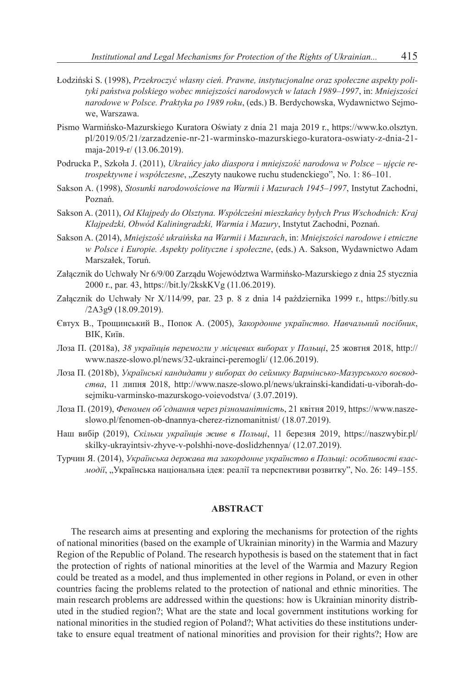- Łodziński S. (1998), *Przekroczyć własny cień. Prawne, instytucjonalne oraz społeczne aspekty polityki państwa polskiego wobec mniejszości narodowych w latach 1989–1997*, in: *Mniejszości narodowe w Polsce. Praktyka po 1989 roku*, (eds.) B. Berdychowska, Wydawnictwo Sejmowe, Warszawa.
- Pismo Warmińsko-Mazurskiego Kuratora Oświaty z dnia 21 maja 2019 r., https://www.ko.olsztyn. pl/2019/05/21/zarzadzenie-nr-21-warminsko-mazurskiego-kuratora-oswiaty-z-dnia-21 maja-2019-r/ (13.06.2019).
- Podrucka P., Szkoła J. (2011), *Ukraińcy jako diaspora i mniejszość narodowa w Polsce ujęcie retrospektywne i współczesne*, "Zeszyty naukowe ruchu studenckiego", No. 1: 86–101.
- Sakson A. (1998), *Stosunki narodowościowe na Warmii i Mazurach 1945–1997*, Instytut Zachodni, Poznań.
- Sakson A. (2011), *Od Kłajpedy do Olsztyna. Współcześni mieszkańcy byłych Prus Wschodnich: Kraj Kłajpedzki, Obwód Kaliningradzki, Warmia i Mazury*, Instytut Zachodni, Poznań.
- Sakson A. (2014), *Mniejszość ukraińska na Warmii i Mazurach*, in: *Mniejszości narodowe i etniczne w Polsce i Europie. Aspekty polityczne i społeczne*, (eds.) A. Sakson, Wydawnictwo Adam Marszałek, Toruń.
- Załącznik do Uchwały Nr 6/9/00 Zarządu Województwa Warmińsko-Mazurskiego z dnia 25 stycznia 2000 r., par. 43, https://bit.ly/2kskKVg (11.06.2019).
- Załącznik do Uchwały Nr X/114/99, par. 23 p. 8 z dnia 14 października 1999 r., https://bitly.su /2A3g9 (18.09.2019).
- Євтух В., Трощинський В., Попок А. (2005), *Закордонне українство. Навчальний посібник*, ВІК, Київ.
- Лоза П. (2018a), *38 українців перемогли у місцевих виборах у Польщі*, 25 жовтня 2018, http:// www.nasze-slowo.pl/news/32-ukrainci-peremogli/ (12.06.2019).
- Лоза П. (2018b), *Українські кандидати у виборах до сеймику Вармінсько-Мазурського воєводства*, 11 липня 2018, http://www.nasze-slowo.pl/news/ukrainski-kandidati-u-viborah-dosejmiku-varminsko-mazurskogo-voievodstva/ (3.07.2019).
- Лоза П. (2019), *Феномен об'єднання через різноманітність*, 21 квітня 2019, https://www.naszeslowo.pl/fenomen-ob-dnannya-cherez-riznomanitnist/ (18.07.2019).
- Наш вибір (2019), *Скільки українців живе в Польщі*, 11 березня 2019, https://naszwybir.pl/ skilky-ukrayintsiv-zhyve-v-polshhi-nove-doslidzhennya/ (12.07.2019).
- Турчин Я. (2014), *Українська держава та закордонне українство в Польщі: особливості взаємодії*, "Українська національна ідея: реалії та перспективи розвитку", No. 26: 149-155.

#### **ABSTRACT**

The research aims at presenting and exploring the mechanisms for protection of the rights of national minorities (based on the example of Ukrainian minority) in the Warmia and Mazury Region of the Republic of Poland. The research hypothesis is based on the statement that in fact the protection of rights of national minorities at the level of the Warmia and Mazury Region could be treated as a model, and thus implemented in other regions in Poland, or even in other countries facing the problems related to the protection of national and ethnic minorities. The main research problems are addressed within the questions: how is Ukrainian minority distributed in the studied region?; What are the state and local government institutions working for national minorities in the studied region of Poland?; What activities do these institutions undertake to ensure equal treatment of national minorities and provision for their rights?; How are